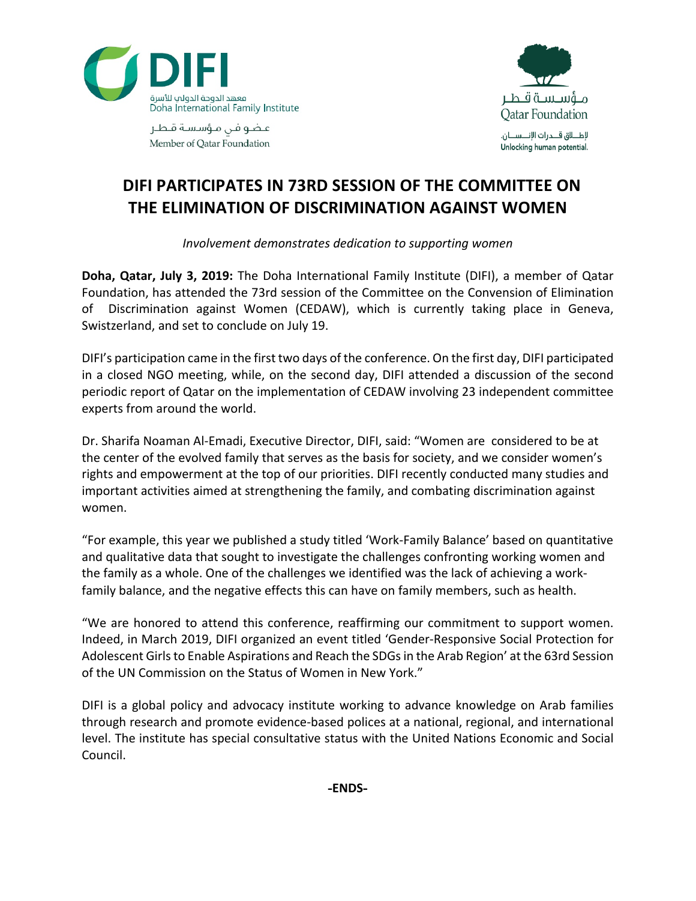

مـــؤســـســة قـــطــر **Qatar Foundation** لإطــــلاق قــــدرات الإنــــســــان. Unlocking human potential.

عاضو فن مؤسسة قاطع Member of Oatar Foundation

## **DIFI PARTICIPATES IN 73RD SESSION OF THE COMMITTEE ON THE ELIMINATION OF DISCRIMINATION AGAINST WOMEN**

*Involvement demonstrates dedication to supporting women*

**Doha, Qatar, July 3, 2019:** The Doha International Family Institute (DIFI), a member of Qatar Foundation, has attended the 73rd session of the Committee on the Convension of Elimination of Discrimination against Women (CEDAW), which is currently taking place in Geneva, Swistzerland, and set to conclude on July 19.

DIFI's participation came in the first two days of the conference. On the first day, DIFI participated in a closed NGO meeting, while, on the second day, DIFI attended a discussion of the second periodic report of Qatar on the implementation of CEDAW involving 23 independent committee experts from around the world.

Dr. Sharifa Noaman Al-Emadi, Executive Director, DIFI, said: "Women are considered to be at the center of the evolved family that serves as the basis for society, and we consider women's rights and empowerment at the top of our priorities. DIFI recently conducted many studies and important activities aimed at strengthening the family, and combating discrimination against women.

"For example, this year we published a study titled 'Work-Family Balance' based on quantitative and qualitative data that sought to investigate the challenges confronting working women and the family as a whole. One of the challenges we identified was the lack of achieving a workfamily balance, and the negative effects this can have on family members, such as health.

"We are honored to attend this conference, reaffirming our commitment to support women. Indeed, in March 2019, DIFI organized an event titled 'Gender-Responsive Social Protection for Adolescent Girls to Enable Aspirations and Reach the SDGs in the Arab Region' at the 63rd Session of the UN Commission on the Status of Women in New York."

DIFI is a global policy and advocacy institute working to advance knowledge on Arab families through research and promote evidence-based polices at a national, regional, and international level. The institute has special consultative status with the United Nations Economic and Social Council.

**-ENDS-**